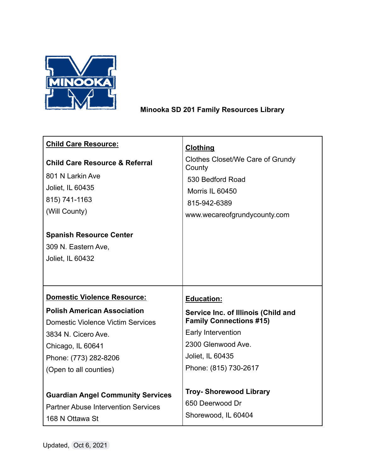

## **Minooka SD 201 Family Resources Library**

| <b>Clothing</b>                            |
|--------------------------------------------|
| Clothes Closet/We Care of Grundy<br>County |
| 530 Bedford Road                           |
| Morris IL 60450                            |
| 815-942-6389                               |
| www.wecareofgrundycounty.com               |
|                                            |
|                                            |
|                                            |
|                                            |
|                                            |
|                                            |
| <b>Education:</b>                          |
| Service Inc. of Illinois (Child and        |
| <b>Family Connections #15)</b>             |
| Early Intervention                         |
| 2300 Glenwood Ave.                         |
| Joliet, IL 60435                           |
| Phone: (815) 730-2617                      |
|                                            |
| <b>Troy- Shorewood Library</b>             |
| 650 Deerwood Dr                            |
| Shorewood, IL 60404                        |
|                                            |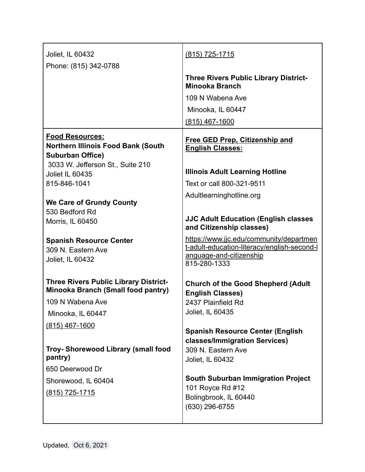| Joliet, IL 60432                                                                   | (815) 725-1715                                                           |
|------------------------------------------------------------------------------------|--------------------------------------------------------------------------|
| Phone: (815) 342-0788                                                              |                                                                          |
|                                                                                    | <b>Three Rivers Public Library District-</b><br><b>Minooka Branch</b>    |
|                                                                                    | 109 N Wabena Ave                                                         |
|                                                                                    | Minooka, IL 60447                                                        |
|                                                                                    | (815) 467-1600                                                           |
| <b>Food Resources:</b><br><b>Northern Illinois Food Bank (South</b>                | <b>Free GED Prep, Citizenship and</b><br><b>English Classes:</b>         |
| <b>Suburban Office)</b><br>3033 W. Jefferson St., Suite 210                        |                                                                          |
| Joliet IL 60435                                                                    | <b>Illinois Adult Learning Hotline</b>                                   |
| 815-846-1041                                                                       | Text or call 800-321-9511                                                |
|                                                                                    | Adultlearninghotline.org                                                 |
| <b>We Care of Grundy County</b><br>530 Bedford Rd                                  |                                                                          |
| Morris, IL 60450                                                                   | <b>JJC Adult Education (English classes</b><br>and Citizenship classes)  |
| <b>Spanish Resource Center</b>                                                     | https://www.jjc.edu/community/departmen                                  |
| 309 N. Eastern Ave                                                                 | t-adult-education-literacy/english-second-l<br>anguage-and-citizenship   |
| Joliet, IL 60432                                                                   | 815-280-1333                                                             |
| <b>Three Rivers Public Library District-</b><br>Minooka Branch (Small food pantry) | <b>Church of the Good Shepherd (Adult</b><br><b>English Classes)</b>     |
| 109 N Wabena Ave                                                                   | 2437 Plainfield Rd                                                       |
| Minooka, IL 60447                                                                  | Joliet, IL 60435                                                         |
| (815) 467-1600                                                                     |                                                                          |
|                                                                                    | <b>Spanish Resource Center (English</b><br>classes/Immigration Services) |
| Troy- Shorewood Library (small food                                                | 309 N. Eastern Ave                                                       |
| pantry)                                                                            | Joliet, IL 60432                                                         |
| 650 Deerwood Dr                                                                    | <b>South Suburban Immigration Project</b>                                |
| Shorewood, IL 60404                                                                | 101 Royce Rd #12                                                         |
| (815) 725-1715                                                                     | Bolingbrook, IL 60440                                                    |
|                                                                                    | (630) 296-6755                                                           |
|                                                                                    |                                                                          |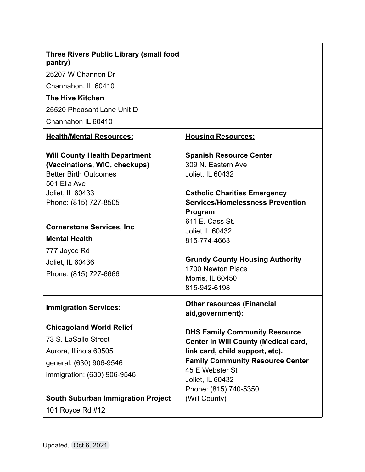| <b>Three Rivers Public Library (small food</b><br>pantry)<br>25207 W Channon Dr<br>Channahon, IL 60410<br><b>The Hive Kitchen</b>                                                                                                                                                            |                                                                                                                                                                                                                                                                                                                                |
|----------------------------------------------------------------------------------------------------------------------------------------------------------------------------------------------------------------------------------------------------------------------------------------------|--------------------------------------------------------------------------------------------------------------------------------------------------------------------------------------------------------------------------------------------------------------------------------------------------------------------------------|
| 25520 Pheasant Lane Unit D<br>Channahon IL 60410                                                                                                                                                                                                                                             |                                                                                                                                                                                                                                                                                                                                |
| <b>Health/Mental Resources:</b>                                                                                                                                                                                                                                                              | <b>Housing Resources:</b>                                                                                                                                                                                                                                                                                                      |
| <b>Will County Health Department</b><br>(Vaccinations, WIC, checkups)<br><b>Better Birth Outcomes</b><br>501 Ella Ave<br>Joliet, IL 60433<br>Phone: (815) 727-8505<br><b>Cornerstone Services, Inc.</b><br><b>Mental Health</b><br>777 Joyce Rd<br>Joliet, IL 60436<br>Phone: (815) 727-6666 | <b>Spanish Resource Center</b><br>309 N. Eastern Ave<br>Joliet, IL 60432<br><b>Catholic Charities Emergency</b><br><b>Services/Homelessness Prevention</b><br>Program<br>611 E. Cass St.<br>Joliet IL 60432<br>815-774-4663<br><b>Grundy County Housing Authority</b><br>1700 Newton Place<br>Morris, IL 60450<br>815-942-6198 |
| <b>Immigration Services:</b>                                                                                                                                                                                                                                                                 | <b>Other resources (Financial</b><br><u>aid,government):</u>                                                                                                                                                                                                                                                                   |
| <b>Chicagoland World Relief</b><br>73 S. LaSalle Street<br>Aurora, Illinois 60505<br>general: (630) 906-9546<br>immigration: (630) 906-9546<br><b>South Suburban Immigration Project</b><br>101 Royce Rd #12                                                                                 | <b>DHS Family Community Resource</b><br><b>Center in Will County (Medical card,</b><br>link card, child support, etc).<br><b>Family Community Resource Center</b><br>45 E Webster St<br>Joliet, IL 60432<br>Phone: (815) 740-5350<br>(Will County)                                                                             |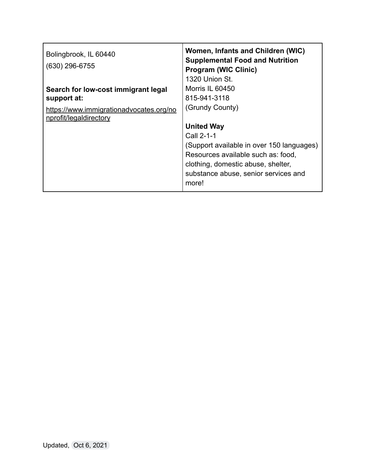| Women, Infants and Children (WIC)<br><b>Supplemental Food and Nutrition</b><br><b>Program (WIC Clinic)</b><br>1320 Union St. |
|------------------------------------------------------------------------------------------------------------------------------|
| Morris IL 60450                                                                                                              |
| 815-941-3118                                                                                                                 |
| (Grundy County)                                                                                                              |
| <b>United Way</b>                                                                                                            |
| Call 2-1-1                                                                                                                   |
| (Support available in over 150 languages)                                                                                    |
| Resources available such as: food,                                                                                           |
| clothing, domestic abuse, shelter,                                                                                           |
| substance abuse, senior services and<br>more!                                                                                |
|                                                                                                                              |